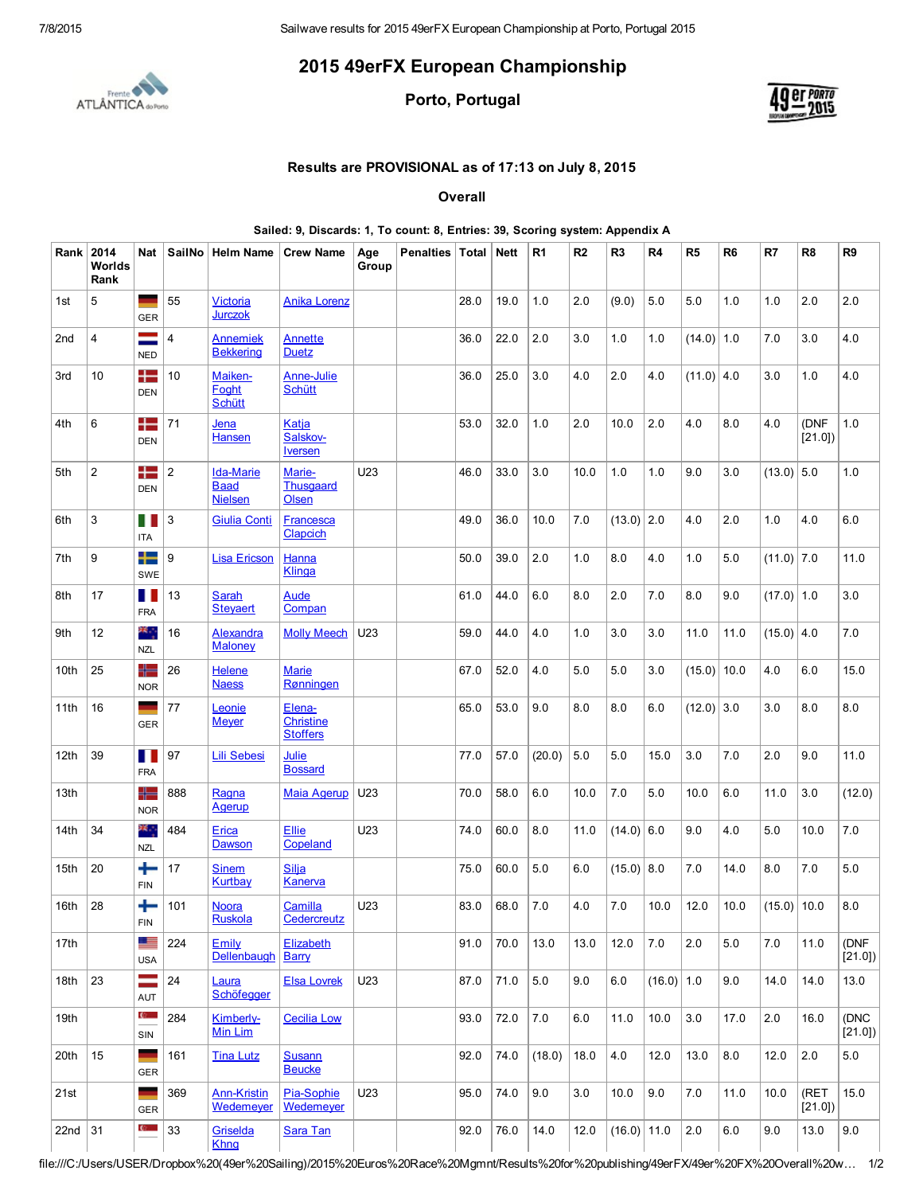## 2015 49erFX European Championship



Porto, Portugal



## Results are PROVISIONAL as of 17:13 on July 8, 2015

**Overall** 

Sailed: 9, Discards: 1, To count: 8, Entries: 39, Scoring system: Appendix A

| Rank            | 2014<br>Worlds<br>Rank | Nat                          |                | SailNo   Helm Name                                | <b>Crew Name</b>                              | Age<br>Group | Penalties Total |      | <b>Nett</b> | R <sub>1</sub> | R2   | R <sub>3</sub> | R <sub>4</sub> | R5           | R <sub>6</sub> | R7            | R <sub>8</sub> | R <sub>9</sub> |
|-----------------|------------------------|------------------------------|----------------|---------------------------------------------------|-----------------------------------------------|--------------|-----------------|------|-------------|----------------|------|----------------|----------------|--------------|----------------|---------------|----------------|----------------|
| 1st             | 5                      | <b>GER</b>                   | 55             | <b>Victoria</b><br><b>Jurczok</b>                 | Anika Lorenz                                  |              |                 | 28.0 | 19.0        | 1.0            | 2.0  | (9.0)          | 5.0            | 5.0          | 1.0            | 1.0           | 2.0            | 2.0            |
| 2 <sub>nd</sub> | 4                      | $=$<br><b>NED</b>            | 4              | <b>Annemiek</b><br><b>Bekkering</b>               | Annette<br><b>Duetz</b>                       |              |                 | 36.0 | 22.0        | 2.0            | 3.0  | 1.0            | 1.0            | (14.0)       | 1.0            | 7.0           | 3.0            | 4.0            |
| 3rd             | 10                     | ╊═<br><b>DEN</b>             | 10             | Maiken-<br>Foaht<br><b>Schütt</b>                 | Anne-Julie<br><b>Schütt</b>                   |              |                 | 36.0 | 25.0        | 3.0            | 4.0  | 2.0            | 4.0            | $(11.0)$ 4.0 |                | 3.0           | 1.0            | 4.0            |
| 4th             | 6                      | 42<br><b>DEN</b>             | 71             | Jena<br><b>Hansen</b>                             | Katja<br>Salskov-<br><u>Iversen</u>           |              |                 | 53.0 | 32.0        | 1.0            | 2.0  | 10.0           | 2.0            | 4.0          | 8.0            | 4.0           | (DNF<br>[21.0] | 1.0            |
| 5th             | $\overline{2}$         | 42<br><b>DEN</b>             | $\overline{2}$ | <b>Ida-Marie</b><br><b>Baad</b><br><b>Nielsen</b> | Marie-<br><b>Thusgaard</b><br>Olsen           | U23          |                 | 46.0 | 33.0        | 3.0            | 10.0 | 1.0            | 1.0            | 9.0          | 3.0            | $(13.0)$ 5.0  |                | 1.0            |
| 6th             | 3                      | Ш<br><b>ITA</b>              | 3              | <b>Giulia Conti</b>                               | Francesca<br>Clapcich                         |              |                 | 49.0 | 36.0        | 10.0           | 7.0  | (13.0)         | 2.0            | 4.0          | 2.0            | 1.0           | 4.0            | 6.0            |
| 7th             | 9                      | ┿╾<br>SWE                    | 9              | <b>Lisa Ericson</b>                               | Hanna<br>Klinga                               |              |                 | 50.0 | 39.0        | 2.0            | 1.0  | 8.0            | 4.0            | 1.0          | 5.0            | $(11.0)$ 7.0  |                | 11.0           |
| 8th             | 17                     | Ш<br><b>FRA</b>              | 13             | Sarah<br><b>Stevaert</b>                          | Aude<br>Compan                                |              |                 | 61.0 | 44.0        | 6.0            | 8.0  | 2.0            | 7.0            | 8.0          | 9.0            | $(17.0)$ 1.0  |                | 3.0            |
| 9th             | 12                     | ж.,<br><b>NZL</b>            | 16             | <b>Alexandra</b><br><b>Maloney</b>                | <b>Molly Meech</b>                            | U23          |                 | 59.0 | 44.0        | 4.0            | 1.0  | 3.0            | 3.0            | 11.0         | 11.0           | $(15.0)$ 4.0  |                | 7.0            |
| 10th            | 25                     | ╬═<br><b>NOR</b>             | 26             | <b>Helene</b><br><b>Naess</b>                     | <b>Marie</b><br>Rønningen                     |              |                 | 67.0 | 52.0        | 4.0            | 5.0  | 5.0            | 3.0            | (15.0)       | 10.0           | 4.0           | 6.0            | 15.0           |
| 11th            | 16                     | <b>GER</b>                   | 77             | Leonie<br><b>Meyer</b>                            | Elena-<br><b>Christine</b><br><b>Stoffers</b> |              |                 | 65.0 | 53.0        | 9.0            | 8.0  | 8.0            | 6.0            | $(12.0)$ 3.0 |                | 3.0           | 8.0            | 8.0            |
| 12th            | 39                     | Ш<br><b>FRA</b>              | 97             | <b>Lili Sebesi</b>                                | Julie<br><b>Bossard</b>                       |              |                 | 77.0 | 57.0        | (20.0)         | 5.0  | 5.0            | 15.0           | 3.0          | 7.0            | 2.0           | 9.0            | 11.0           |
| 13th            |                        | ╬═<br><b>NOR</b>             | 888            | Ragna<br>Agerup                                   | <b>Maia Agerup</b>                            | U23          |                 | 70.0 | 58.0        | 6.0            | 10.0 | 7.0            | 5.0            | 10.0         | 6.0            | 11.0          | 3.0            | (12.0)         |
| 14th            | 34                     | ж.,<br><b>NZL</b>            | 484            | Erica<br><b>Dawson</b>                            | <b>Ellie</b><br>Copeland                      | U23          |                 | 74.0 | 60.0        | 8.0            | 11.0 | (14.0)         | 6.0            | 9.0          | 4.0            | 5.0           | 10.0           | 7.0            |
| 15th            | 20                     | ╈<br><b>FIN</b>              | 17             | <b>Sinem</b><br>Kurtbay                           | Silja<br>Kanerva                              |              |                 | 75.0 | 60.0        | 5.0            | 6.0  | $(15.0)$ 8.0   |                | 7.0          | 14.0           | 8.0           | 7.0            | 5.0            |
| 16th            | 28                     | ╄<br><b>FIN</b>              | 101            | <b>Noora</b><br>Ruskola                           | Camilla<br>Cedercreutz                        | U23          |                 | 83.0 | 68.0        | 7.0            | 4.0  | 7.0            | 10.0           | 12.0         | 10.0           | $(15.0)$ 10.0 |                | 8.0            |
| 17th            |                        | 里<br><b>USA</b>              | 224            | Emily<br>Dellenbaugh                              | Elizabeth<br><b>Barry</b>                     |              |                 | 91.0 | 70.0        | 13.0           | 13.0 | 12.0           | 7.0            | 2.0          | 5.0            | 7.0           | 11.0           | (DNF<br>[21.0] |
| 18th            | 23                     | $\equiv$<br>AUT              | 24             | Laura<br>Schöfegger                               | <b>Elsa Lovrek</b>                            | U23          |                 | 87.0 | 71.0        | 5.0            | 9.0  | 6.0            | $(16.0)$ 1.0   |              | 9.0            | 14.0          | 14.0           | 13.0           |
| 19th            |                        | $\mathbf{c}$<br>SIN          | 284            | Kimberly-<br>Min Lim                              | <b>Cecilia Low</b>                            |              |                 | 93.0 | 72.0        | $7.0\,$        | 6.0  | 11.0           | 10.0           | 3.0          | 17.0           | 2.0           | 16.0           | (DNC<br>[21.0] |
| 20th            | 15                     | e en la partie<br><b>GER</b> | 161            | <b>Tina Lutz</b>                                  | <b>Susann</b><br><b>Beucke</b>                |              |                 | 92.0 | 74.0        | (18.0)         | 18.0 | 4.0            | 12.0           | 13.0         | 8.0            | 12.0          | 2.0            | $5.0\,$        |
| 21st            |                        | and the<br>GER               | 369            | <b>Ann-Kristin</b><br>Wedemeyer                   | Pia-Sophie<br>Wedemeyer                       | U23          |                 | 95.0 | 74.0        | 9.0            | 3.0  | 10.0           | 9.0            | $7.0$        | 11.0           | 10.0          | (RET<br>[21.0] | 15.0           |
| 22nd $31$       |                        | $\mathbf{C}$                 | 33             | Griselda<br><b>Khng</b>                           | Sara Tan                                      |              |                 | 92.0 | 76.0        | 14.0           | 12.0 | $(16.0)$ 11.0  |                | 2.0          | $6.0\,$        | 9.0           | 13.0           | 9.0            |

file:///C:/Users/USER/Dropbox%20(49er%20Sailing)/2015%20Euros%20Race%20Mgmnt/Results%20for%20publishing/49erFX/49er%20FX%20Overall%20w… 1/2